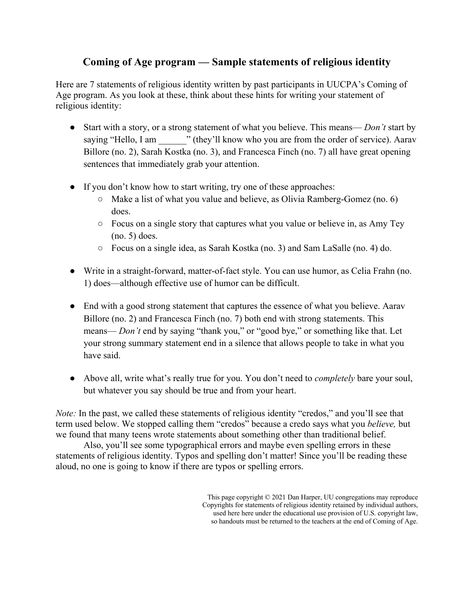# **Coming of Age program — Sample statements of religious identity**

Here are 7 statements of religious identity written by past participants in UUCPA's Coming of Age program. As you look at these, think about these hints for writing your statement of religious identity:

- Start with a story, or a strong statement of what you believe. This means— *Don't* start by saying "Hello, I am  $\cdots$ " (they'll know who you are from the order of service). Aarav Billore (no. 2), Sarah Kostka (no. 3), and Francesca Finch (no. 7) all have great opening sentences that immediately grab your attention.
- If you don't know how to start writing, try one of these approaches:
	- Make a list of what you value and believe, as Olivia Ramberg-Gomez (no. 6) does.
	- Focus on a single story that captures what you value or believe in, as Amy Tey (no. 5) does.
	- Focus on a single idea, as Sarah Kostka (no. 3) and Sam LaSalle (no. 4) do.
- Write in a straight-forward, matter-of-fact style. You can use humor, as Celia Frahn (no. 1) does—although effective use of humor can be difficult.
- End with a good strong statement that captures the essence of what you believe. Aarav Billore (no. 2) and Francesca Finch (no. 7) both end with strong statements. This means— *Don't* end by saying "thank you," or "good bye," or something like that. Let your strong summary statement end in a silence that allows people to take in what you have said.
- Above all, write what's really true for you. You don't need to *completely* bare your soul, but whatever you say should be true and from your heart.

*Note:* In the past, we called these statements of religious identity "credos," and you'll see that term used below. We stopped calling them "credos" because a credo says what you *believe,* but we found that many teens wrote statements about something other than traditional belief.

Also, you'll see some typographical errors and maybe even spelling errors in these statements of religious identity. Typos and spelling don't matter! Since you'll be reading these aloud, no one is going to know if there are typos or spelling errors.

> This page copyright © 2021 Dan Harper, UU congregations may reproduce Copyrights for statements of religious identity retained by individual authors, used here here under the educational use provision of U.S. copyright law, so handouts must be returned to the teachers at the end of Coming of Age.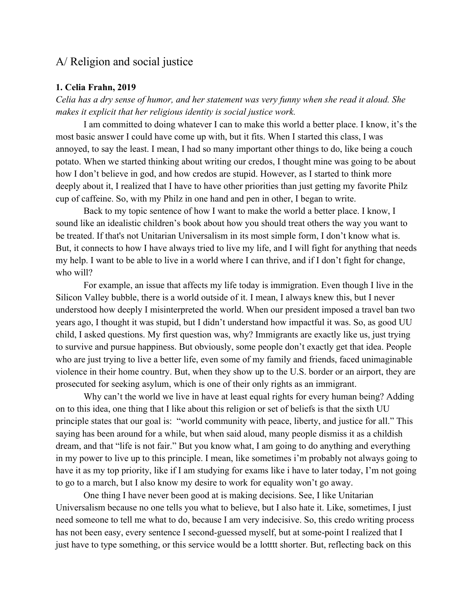# A/ Religion and social justice

## **1. Celia Frahn, 2019**

*Celia has a dry sense of humor, and her statement was very funny when she read it aloud. She makes it explicit that her religious identity is social justice work.*

I am committed to doing whatever I can to make this world a better place. I know, it's the most basic answer I could have come up with, but it fits. When I started this class, I was annoyed, to say the least. I mean, I had so many important other things to do, like being a couch potato. When we started thinking about writing our credos, I thought mine was going to be about how I don't believe in god, and how credos are stupid. However, as I started to think more deeply about it, I realized that I have to have other priorities than just getting my favorite Philz cup of caffeine. So, with my Philz in one hand and pen in other, I began to write.

 Back to my topic sentence of how I want to make the world a better place. I know, I sound like an idealistic children's book about how you should treat others the way you want to be treated. If that's not Unitarian Universalism in its most simple form, I don't know what is. But, it connects to how I have always tried to live my life, and I will fight for anything that needs my help. I want to be able to live in a world where I can thrive, and if I don't fight for change, who will?

 For example, an issue that affects my life today is immigration. Even though I live in the Silicon Valley bubble, there is a world outside of it. I mean, I always knew this, but I never understood how deeply I misinterpreted the world. When our president imposed a travel ban two years ago, I thought it was stupid, but I didn't understand how impactful it was. So, as good UU child, I asked questions. My first question was, why? Immigrants are exactly like us, just trying to survive and pursue happiness. But obviously, some people don't exactly get that idea. People who are just trying to live a better life, even some of my family and friends, faced unimaginable violence in their home country. But, when they show up to the U.S. border or an airport, they are prosecuted for seeking asylum, which is one of their only rights as an immigrant.

Why can't the world we live in have at least equal rights for every human being? Adding on to this idea, one thing that I like about this religion or set of beliefs is that the sixth UU principle states that our goal is: "world community with peace, liberty, and justice for all." This saying has been around for a while, but when said aloud, many people dismiss it as a childish dream, and that "life is not fair." But you know what, I am going to do anything and everything in my power to live up to this principle. I mean, like sometimes i'm probably not always going to have it as my top priority, like if I am studying for exams like i have to later today, I'm not going to go to a march, but I also know my desire to work for equality won't go away.

 One thing I have never been good at is making decisions. See, I like Unitarian Universalism because no one tells you what to believe, but I also hate it. Like, sometimes, I just need someone to tell me what to do, because I am very indecisive. So, this credo writing process has not been easy, every sentence I second-guessed myself, but at some-point I realized that I just have to type something, or this service would be a lotttt shorter. But, reflecting back on this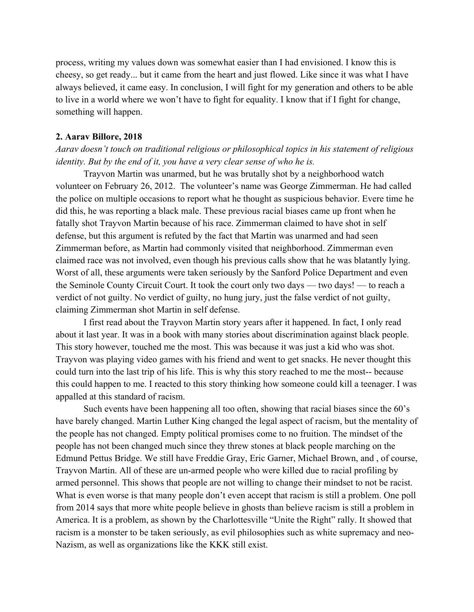process, writing my values down was somewhat easier than I had envisioned. I know this is cheesy, so get ready... but it came from the heart and just flowed. Like since it was what I have always believed, it came easy. In conclusion, I will fight for my generation and others to be able to live in a world where we won't have to fight for equality. I know that if I fight for change, something will happen.

#### **2. Aarav Billore, 2018**

*Aarav doesn't touch on traditional religious or philosophical topics in his statement of religious identity. But by the end of it, you have a very clear sense of who he is.*

Trayvon Martin was unarmed, but he was brutally shot by a neighborhood watch volunteer on February 26, 2012. The volunteer's name was George Zimmerman. He had called the police on multiple occasions to report what he thought as suspicious behavior. Evere time he did this, he was reporting a black male. These previous racial biases came up front when he fatally shot Trayvon Martin because of his race. Zimmerman claimed to have shot in self defense, but this argument is refuted by the fact that Martin was unarmed and had seen Zimmerman before, as Martin had commonly visited that neighborhood. Zimmerman even claimed race was not involved, even though his previous calls show that he was blatantly lying. Worst of all, these arguments were taken seriously by the Sanford Police Department and even the Seminole County Circuit Court. It took the court only two days — two days! — to reach a verdict of not guilty. No verdict of guilty, no hung jury, just the false verdict of not guilty, claiming Zimmerman shot Martin in self defense.

I first read about the Trayvon Martin story years after it happened. In fact, I only read about it last year. It was in a book with many stories about discrimination against black people. This story however, touched me the most. This was because it was just a kid who was shot. Trayvon was playing video games with his friend and went to get snacks. He never thought this could turn into the last trip of his life. This is why this story reached to me the most-- because this could happen to me. I reacted to this story thinking how someone could kill a teenager. I was appalled at this standard of racism.

Such events have been happening all too often, showing that racial biases since the 60's have barely changed. Martin Luther King changed the legal aspect of racism, but the mentality of the people has not changed. Empty political promises come to no fruition. The mindset of the people has not been changed much since they threw stones at black people marching on the Edmund Pettus Bridge. We still have Freddie Gray, Eric Garner, Michael Brown, and , of course, Trayvon Martin. All of these are un-armed people who were killed due to racial profiling by armed personnel. This shows that people are not willing to change their mindset to not be racist. What is even worse is that many people don't even accept that racism is still a problem. One poll from 2014 says that more white people believe in ghosts than believe racism is still a problem in America. It is a problem, as shown by the Charlottesville "Unite the Right" rally. It showed that racism is a monster to be taken seriously, as evil philosophies such as white supremacy and neo-Nazism, as well as organizations like the KKK still exist.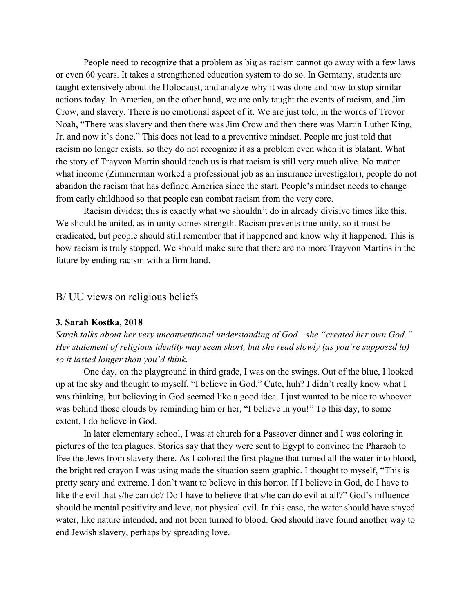People need to recognize that a problem as big as racism cannot go away with a few laws or even 60 years. It takes a strengthened education system to do so. In Germany, students are taught extensively about the Holocaust, and analyze why it was done and how to stop similar actions today. In America, on the other hand, we are only taught the events of racism, and Jim Crow, and slavery. There is no emotional aspect of it. We are just told, in the words of Trevor Noah, "There was slavery and then there was Jim Crow and then there was Martin Luther King, Jr. and now it's done." This does not lead to a preventive mindset. People are just told that racism no longer exists, so they do not recognize it as a problem even when it is blatant. What the story of Trayvon Martin should teach us is that racism is still very much alive. No matter what income (Zimmerman worked a professional job as an insurance investigator), people do not abandon the racism that has defined America since the start. People's mindset needs to change from early childhood so that people can combat racism from the very core.

Racism divides; this is exactly what we shouldn't do in already divisive times like this. We should be united, as in unity comes strength. Racism prevents true unity, so it must be eradicated, but people should still remember that it happened and know why it happened. This is how racism is truly stopped. We should make sure that there are no more Trayvon Martins in the future by ending racism with a firm hand.

## B/ UU views on religious beliefs

## **3. Sarah Kostka, 2018**

*Sarah talks about her very unconventional understanding of God—she "created her own God." Her statement of religious identity may seem short, but she read slowly (as you're supposed to) so it lasted longer than you'd think.*

One day, on the playground in third grade, I was on the swings. Out of the blue, I looked up at the sky and thought to myself, "I believe in God." Cute, huh? I didn't really know what I was thinking, but believing in God seemed like a good idea. I just wanted to be nice to whoever was behind those clouds by reminding him or her, "I believe in you!" To this day, to some extent, I do believe in God.

In later elementary school, I was at church for a Passover dinner and I was coloring in pictures of the ten plagues. Stories say that they were sent to Egypt to convince the Pharaoh to free the Jews from slavery there. As I colored the first plague that turned all the water into blood, the bright red crayon I was using made the situation seem graphic. I thought to myself, "This is pretty scary and extreme. I don't want to believe in this horror. If I believe in God, do I have to like the evil that s/he can do? Do I have to believe that s/he can do evil at all?" God's influence should be mental positivity and love, not physical evil. In this case, the water should have stayed water, like nature intended, and not been turned to blood. God should have found another way to end Jewish slavery, perhaps by spreading love.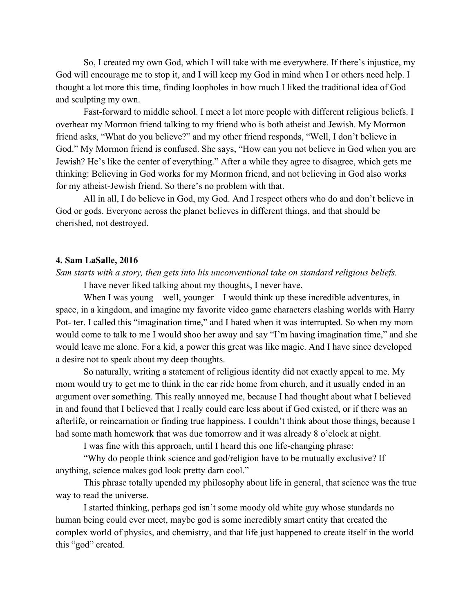So, I created my own God, which I will take with me everywhere. If there's injustice, my God will encourage me to stop it, and I will keep my God in mind when I or others need help. I thought a lot more this time, finding loopholes in how much I liked the traditional idea of God and sculpting my own.

Fast-forward to middle school. I meet a lot more people with different religious beliefs. I overhear my Mormon friend talking to my friend who is both atheist and Jewish. My Mormon friend asks, "What do you believe?" and my other friend responds, "Well, I don't believe in God." My Mormon friend is confused. She says, "How can you not believe in God when you are Jewish? He's like the center of everything." After a while they agree to disagree, which gets me thinking: Believing in God works for my Mormon friend, and not believing in God also works for my atheist-Jewish friend. So there's no problem with that.

All in all, I do believe in God, my God. And I respect others who do and don't believe in God or gods. Everyone across the planet believes in different things, and that should be cherished, not destroyed.

#### **4. Sam LaSalle, 2016**

## *Sam starts with a story, then gets into his unconventional take on standard religious beliefs.*

I have never liked talking about my thoughts, I never have.

When I was young—well, younger—I would think up these incredible adventures, in space, in a kingdom, and imagine my favorite video game characters clashing worlds with Harry Pot- ter. I called this "imagination time," and I hated when it was interrupted. So when my mom would come to talk to me I would shoo her away and say "I'm having imagination time," and she would leave me alone. For a kid, a power this great was like magic. And I have since developed a desire not to speak about my deep thoughts.

So naturally, writing a statement of religious identity did not exactly appeal to me. My mom would try to get me to think in the car ride home from church, and it usually ended in an argument over something. This really annoyed me, because I had thought about what I believed in and found that I believed that I really could care less about if God existed, or if there was an afterlife, or reincarnation or finding true happiness. I couldn't think about those things, because I had some math homework that was due tomorrow and it was already 8 o'clock at night.

I was fine with this approach, until I heard this one life-changing phrase:

"Why do people think science and god/religion have to be mutually exclusive? If anything, science makes god look pretty darn cool."

This phrase totally upended my philosophy about life in general, that science was the true way to read the universe.

I started thinking, perhaps god isn't some moody old white guy whose standards no human being could ever meet, maybe god is some incredibly smart entity that created the complex world of physics, and chemistry, and that life just happened to create itself in the world this "god" created.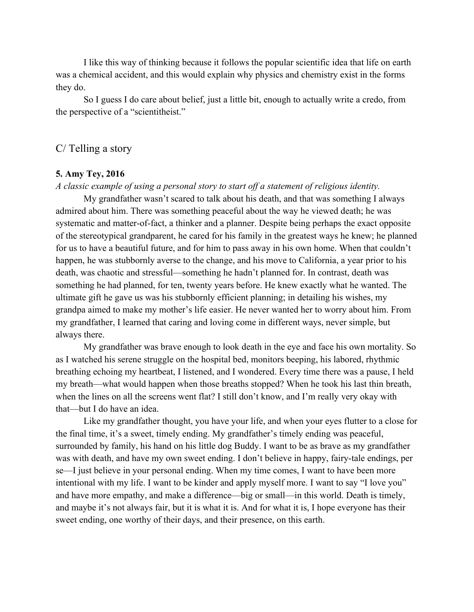I like this way of thinking because it follows the popular scientific idea that life on earth was a chemical accident, and this would explain why physics and chemistry exist in the forms they do.

So I guess I do care about belief, just a little bit, enough to actually write a credo, from the perspective of a "scientitheist."

## C/ Telling a story

## **5. Amy Tey, 2016**

#### *A classic example of using a personal story to start off a statement of religious identity.*

My grandfather wasn't scared to talk about his death, and that was something I always admired about him. There was something peaceful about the way he viewed death; he was systematic and matter-of-fact, a thinker and a planner. Despite being perhaps the exact opposite of the stereotypical grandparent, he cared for his family in the greatest ways he knew; he planned for us to have a beautiful future, and for him to pass away in his own home. When that couldn't happen, he was stubbornly averse to the change, and his move to California, a year prior to his death, was chaotic and stressful—something he hadn't planned for. In contrast, death was something he had planned, for ten, twenty years before. He knew exactly what he wanted. The ultimate gift he gave us was his stubbornly efficient planning; in detailing his wishes, my grandpa aimed to make my mother's life easier. He never wanted her to worry about him. From my grandfather, I learned that caring and loving come in different ways, never simple, but always there.

My grandfather was brave enough to look death in the eye and face his own mortality. So as I watched his serene struggle on the hospital bed, monitors beeping, his labored, rhythmic breathing echoing my heartbeat, I listened, and I wondered. Every time there was a pause, I held my breath—what would happen when those breaths stopped? When he took his last thin breath, when the lines on all the screens went flat? I still don't know, and I'm really very okay with that—but I do have an idea.

Like my grandfather thought, you have your life, and when your eyes flutter to a close for the final time, it's a sweet, timely ending. My grandfather's timely ending was peaceful, surrounded by family, his hand on his little dog Buddy. I want to be as brave as my grandfather was with death, and have my own sweet ending. I don't believe in happy, fairy-tale endings, per se—I just believe in your personal ending. When my time comes, I want to have been more intentional with my life. I want to be kinder and apply myself more. I want to say "I love you" and have more empathy, and make a difference—big or small—in this world. Death is timely, and maybe it's not always fair, but it is what it is. And for what it is, I hope everyone has their sweet ending, one worthy of their days, and their presence, on this earth.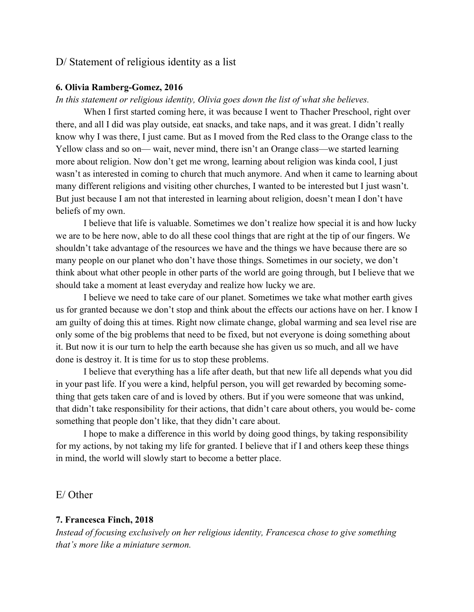## D/ Statement of religious identity as a list

## **6. Olivia Ramberg-Gomez, 2016**

## *In this statement or religious identity, Olivia goes down the list of what she believes.*

When I first started coming here, it was because I went to Thacher Preschool, right over there, and all I did was play outside, eat snacks, and take naps, and it was great. I didn't really know why I was there, I just came. But as I moved from the Red class to the Orange class to the Yellow class and so on— wait, never mind, there isn't an Orange class—we started learning more about religion. Now don't get me wrong, learning about religion was kinda cool, I just wasn't as interested in coming to church that much anymore. And when it came to learning about many different religions and visiting other churches, I wanted to be interested but I just wasn't. But just because I am not that interested in learning about religion, doesn't mean I don't have beliefs of my own.

I believe that life is valuable. Sometimes we don't realize how special it is and how lucky we are to be here now, able to do all these cool things that are right at the tip of our fingers. We shouldn't take advantage of the resources we have and the things we have because there are so many people on our planet who don't have those things. Sometimes in our society, we don't think about what other people in other parts of the world are going through, but I believe that we should take a moment at least everyday and realize how lucky we are.

I believe we need to take care of our planet. Sometimes we take what mother earth gives us for granted because we don't stop and think about the effects our actions have on her. I know I am guilty of doing this at times. Right now climate change, global warming and sea level rise are only some of the big problems that need to be fixed, but not everyone is doing something about it. But now it is our turn to help the earth because she has given us so much, and all we have done is destroy it. It is time for us to stop these problems.

I believe that everything has a life after death, but that new life all depends what you did in your past life. If you were a kind, helpful person, you will get rewarded by becoming something that gets taken care of and is loved by others. But if you were someone that was unkind, that didn't take responsibility for their actions, that didn't care about others, you would be- come something that people don't like, that they didn't care about.

I hope to make a difference in this world by doing good things, by taking responsibility for my actions, by not taking my life for granted. I believe that if I and others keep these things in mind, the world will slowly start to become a better place.

E/ Other

## **7. Francesca Finch, 2018**

*Instead of focusing exclusively on her religious identity, Francesca chose to give something that's more like a miniature sermon.*